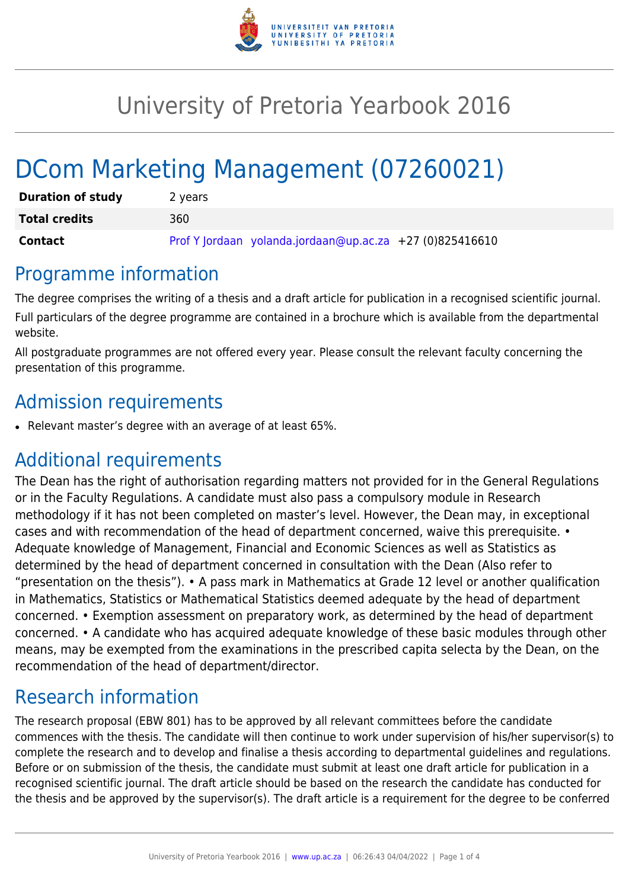

# University of Pretoria Yearbook 2016

# DCom Marketing Management (07260021)

| <b>Duration of study</b> | 2 years                                                  |
|--------------------------|----------------------------------------------------------|
| <b>Total credits</b>     | 360.                                                     |
| Contact                  | Prof Y Jordaan yolanda.jordaan@up.ac.za +27 (0)825416610 |

### Programme information

The degree comprises the writing of a thesis and a draft article for publication in a recognised scientific journal. Full particulars of the degree programme are contained in a brochure which is available from the departmental website.

All postgraduate programmes are not offered every year. Please consult the relevant faculty concerning the presentation of this programme.

## Admission requirements

● Relevant master's degree with an average of at least 65%.

### Additional requirements

The Dean has the right of authorisation regarding matters not provided for in the General Regulations or in the Faculty Regulations. A candidate must also pass a compulsory module in Research methodology if it has not been completed on master's level. However, the Dean may, in exceptional cases and with recommendation of the head of department concerned, waive this prerequisite. • Adequate knowledge of Management, Financial and Economic Sciences as well as Statistics as determined by the head of department concerned in consultation with the Dean (Also refer to "presentation on the thesis"). • A pass mark in Mathematics at Grade 12 level or another qualification in Mathematics, Statistics or Mathematical Statistics deemed adequate by the head of department concerned. • Exemption assessment on preparatory work, as determined by the head of department concerned. • A candidate who has acquired adequate knowledge of these basic modules through other means, may be exempted from the examinations in the prescribed capita selecta by the Dean, on the recommendation of the head of department/director.

# Research information

The research proposal (EBW 801) has to be approved by all relevant committees before the candidate commences with the thesis. The candidate will then continue to work under supervision of his/her supervisor(s) to complete the research and to develop and finalise a thesis according to departmental guidelines and regulations. Before or on submission of the thesis, the candidate must submit at least one draft article for publication in a recognised scientific journal. The draft article should be based on the research the candidate has conducted for the thesis and be approved by the supervisor(s). The draft article is a requirement for the degree to be conferred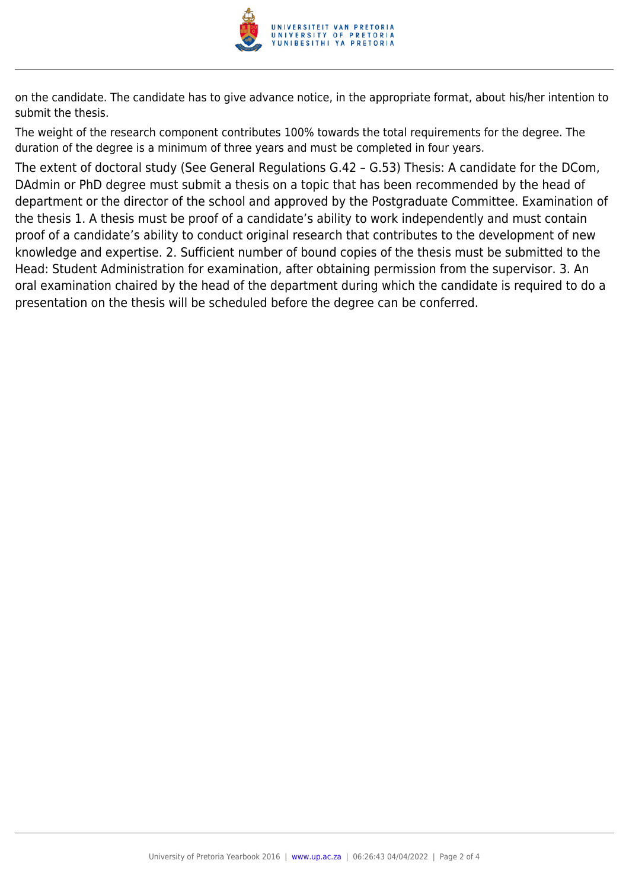

on the candidate. The candidate has to give advance notice, in the appropriate format, about his/her intention to submit the thesis.

The weight of the research component contributes 100% towards the total requirements for the degree. The duration of the degree is a minimum of three years and must be completed in four years.

The extent of doctoral study (See General Regulations G.42 – G.53) Thesis: A candidate for the DCom, DAdmin or PhD degree must submit a thesis on a topic that has been recommended by the head of department or the director of the school and approved by the Postgraduate Committee. Examination of the thesis 1. A thesis must be proof of a candidate's ability to work independently and must contain proof of a candidate's ability to conduct original research that contributes to the development of new knowledge and expertise. 2. Sufficient number of bound copies of the thesis must be submitted to the Head: Student Administration for examination, after obtaining permission from the supervisor. 3. An oral examination chaired by the head of the department during which the candidate is required to do a presentation on the thesis will be scheduled before the degree can be conferred.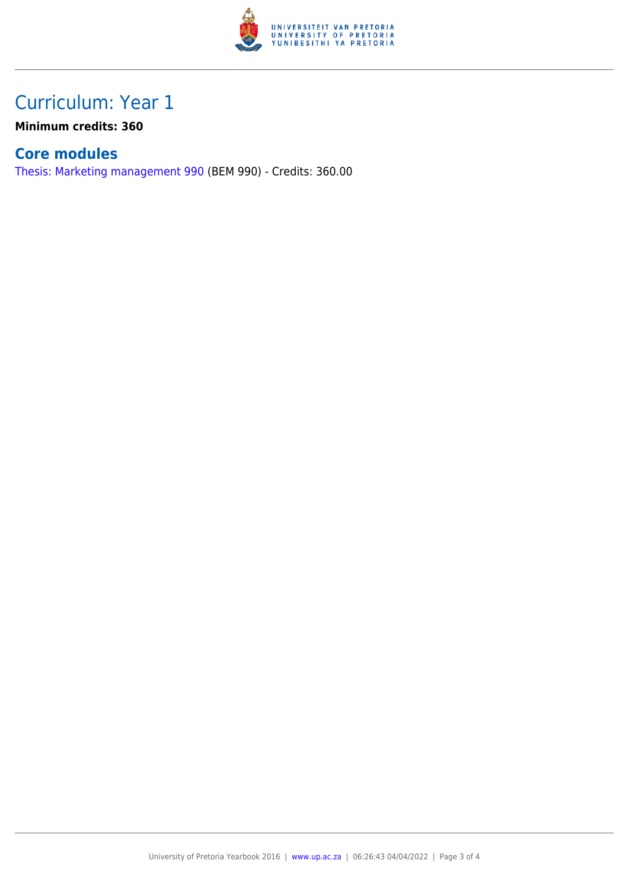

## Curriculum: Year 1

**Minimum credits: 360**

#### **Core modules**

[Thesis: Marketing management 990](https://www.up.ac.za/faculty-of-education/yearbooks/2016/modules/view/BEM 990) (BEM 990) - Credits: 360.00